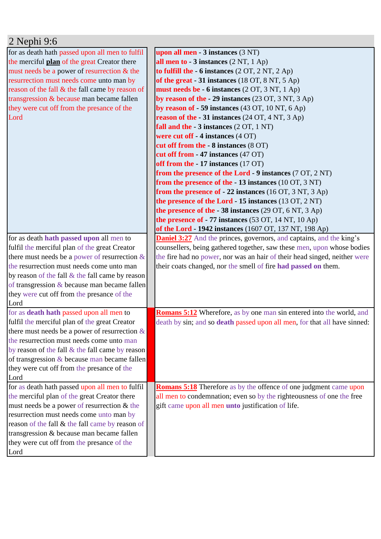| 2 Nephi 9:6                                        |                                                                                  |
|----------------------------------------------------|----------------------------------------------------------------------------------|
| for as death hath passed upon all men to fulfil    | upon all men - 3 instances (3 NT)                                                |
| the merciful plan of the great Creator there       | all men to $-3$ instances $(2 NT, 1 Ap)$                                         |
| must needs be a power of resurrection & the        | to fulfill the $-6$ instances $(2 OT, 2 NT, 2 Ap)$                               |
| resurrection must needs come unto man by           | of the great - 31 instances (18 OT, 8 NT, 5 Ap)                                  |
| reason of the fall & the fall came by reason of    | must needs be - 6 instances (2 OT, 3 NT, 1 Ap)                                   |
| transgression & because man became fallen          | by reason of the - 29 instances $(23 \text{ OT}, 3 \text{ NT}, 3 \text{ Ap})$    |
| they were cut off from the presance of the         | by reason of $-59$ instances (43 OT, 10 NT, 6 Ap)                                |
| Lord                                               | reason of the $-31$ instances (24 OT, 4 NT, 3 Ap)                                |
|                                                    | fall and the $-3$ instances $(2 OT, 1 NT)$                                       |
|                                                    | were cut off - 4 instances (4 OT)                                                |
|                                                    | cut off from the - 8 instances (8 OT)                                            |
|                                                    | cut off from - 47 instances (47 OT)                                              |
|                                                    | off from the - 17 instances (17 OT)                                              |
|                                                    | from the presence of the Lord - 9 instances $(7 \text{ OT}, 2 \text{ NT})$       |
|                                                    | from the presence of the $-13$ instances (10 OT, 3 NT)                           |
|                                                    | from the presence of $-22$ instances (16 OT, 3 NT, 3 Ap)                         |
|                                                    | the presence of the Lord $-15$ instances (13 OT, 2 NT)                           |
|                                                    | the presence of the $-38$ instances (29 OT, 6 NT, 3 Ap)                          |
|                                                    | the presence of $-77$ instances (53 OT, 14 NT, 10 Ap)                            |
|                                                    | of the Lord - 1942 instances (1607 OT, 137 NT, 198 Ap)                           |
| for as death hath passed upon all men to           | <b>Daniel 3:27</b> And the princes, governors, and captains, and the king's      |
| fulfil the merciful plan of the great Creator      | counsellers, being gathered together, saw these men, upon whose bodies           |
| there must needs be a power of resurrection $\&$   | the fire had no power, nor was an hair of their head singed, neither were        |
| the resurrection must needs come unto man          | their coats changed, nor the smell of fire had passed on them.                   |
| by reason of the fall $\&$ the fall came by reason |                                                                                  |
| of transgression & because man became fallen       |                                                                                  |
| they were cut off from the presance of the         |                                                                                  |
| Lord                                               |                                                                                  |
| for as <b>death hath</b> passed upon all men to    | <b>Romans 5:12</b> Wherefore, as by one man sin entered into the world, and      |
| fulfil the merciful plan of the great Creator      | death by sin; and so <b>death</b> passed upon all men, for that all have sinned: |
| there must needs be a power of resurrection $\&$   |                                                                                  |
| the resurrection must needs come unto man          |                                                                                  |
| by reason of the fall & the fall came by reason    |                                                                                  |
| of transgression & because man became fallen       |                                                                                  |
| they were cut off from the presance of the         |                                                                                  |
| Lord                                               |                                                                                  |
| for as death hath passed upon all men to fulfil    | <b>Romans 5:18</b> Therefore as by the offence of one judgment came upon         |
| the merciful plan of the great Creator there       | all men to condemnation; even so by the righteousness of one the free            |
| must needs be a power of resurrection & the        | gift came upon all men unto justification of life.                               |
| resurrection must needs come unto man by           |                                                                                  |
| reason of the fall & the fall came by reason of    |                                                                                  |
| transgression & because man became fallen          |                                                                                  |
| they were cut off from the presance of the         |                                                                                  |
| Lord                                               |                                                                                  |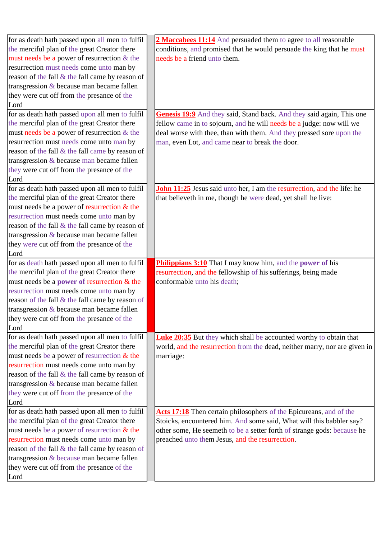| for as death hath passed upon all men to fulfil       | 2 Maccabees 11:14 And persuaded them to agree to all reasonable                |
|-------------------------------------------------------|--------------------------------------------------------------------------------|
| the merciful plan of the great Creator there          | conditions, and promised that he would persuade the king that he must          |
| must needs be a power of resurrection $&$ the         | needs be a friend unto them.                                                   |
| resurrection must needs come unto man by              |                                                                                |
| reason of the fall & the fall came by reason of       |                                                                                |
| transgression $&$ because man became fallen           |                                                                                |
| they were cut off from the presance of the            |                                                                                |
| Lord                                                  |                                                                                |
| for as death hath passed upon all men to fulfil       | Genesis 19:9 And they said, Stand back. And they said again, This one          |
| the merciful plan of the great Creator there          | fellow came in to sojourn, and he will needs be a judge: now will we           |
| must needs be a power of resurrection $&$ the         | deal worse with thee, than with them. And they pressed sore upon the           |
| resurrection must needs come unto man by              | man, even Lot, and came near to break the door.                                |
| reason of the fall & the fall came by reason of       |                                                                                |
| transgression $&$ because man became fallen           |                                                                                |
| they were cut off from the presance of the            |                                                                                |
|                                                       |                                                                                |
| Lord                                                  |                                                                                |
| for as death hath passed upon all men to fulfil       | <b>John 11:25</b> Jesus said unto her, I am the resurrection, and the life: he |
| the merciful plan of the great Creator there          | that believeth in me, though he were dead, yet shall he live:                  |
| must needs be a power of resurrection $&$ the         |                                                                                |
| resurrection must needs come unto man by              |                                                                                |
| reason of the fall & the fall came by reason of       |                                                                                |
| transgression $&$ because man became fallen           |                                                                                |
| they were cut off from the presance of the            |                                                                                |
| Lord                                                  |                                                                                |
| for as death hath passed upon all men to fulfil       | Philippians 3:10 That I may know him, and the power of his                     |
| the merciful plan of the great Creator there          | resurrection, and the fellowship of his sufferings, being made                 |
| must needs be a <b>power</b> of resurrection $\&$ the | conformable unto his death;                                                    |
| resurrection must needs come unto man by              |                                                                                |
| reason of the fall & the fall came by reason of       |                                                                                |
| transgression & because man became fallen             |                                                                                |
| they were cut off from the presance of the            |                                                                                |
| Lord                                                  |                                                                                |
| for as death hath passed upon all men to fulfil       | <b>Luke 20:35</b> But they which shall be accounted worthy to obtain that      |
| the merciful plan of the great Creator there          | world, and the resurrection from the dead, neither marry, nor are given in     |
| must needs be a power of resurrection $&$ the         | marriage:                                                                      |
| resurrection must needs come unto man by              |                                                                                |
| reason of the fall & the fall came by reason of       |                                                                                |
| transgression $&$ because man became fallen           |                                                                                |
| they were cut off from the presance of the            |                                                                                |
| Lord                                                  |                                                                                |
| for as death hath passed upon all men to fulfil       | Acts 17:18 Then certain philosophers of the Epicureans, and of the             |
| the merciful plan of the great Creator there          | Stoicks, encountered him. And some said, What will this babbler say?           |
| must needs be a power of resurrection $&$ the         | other some, He seemeth to be a setter forth of strange gods: because he        |
| resurrection must needs come unto man by              | preached unto them Jesus, and the resurrection.                                |
| reason of the fall & the fall came by reason of       |                                                                                |
| transgression & because man became fallen             |                                                                                |
|                                                       |                                                                                |
|                                                       |                                                                                |
| they were cut off from the presance of the<br>Lord    |                                                                                |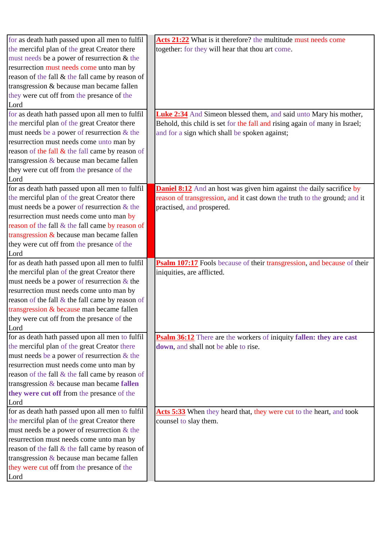| for as death hath passed upon all men to fulfil | Acts 21:22 What is it therefore? the multitude must needs come              |
|-------------------------------------------------|-----------------------------------------------------------------------------|
| the merciful plan of the great Creator there    | together: for they will hear that thou art come.                            |
| must needs be a power of resurrection & the     |                                                                             |
| resurrection must needs come unto man by        |                                                                             |
| reason of the fall & the fall came by reason of |                                                                             |
| transgression & because man became fallen       |                                                                             |
| they were cut off from the presance of the      |                                                                             |
| Lord                                            |                                                                             |
| for as death hath passed upon all men to fulfil | <b>Luke 2:34</b> And Simeon blessed them, and said unto Mary his mother,    |
| the merciful plan of the great Creator there    | Behold, this child is set for the fall and rising again of many in Israel;  |
| must needs be a power of resurrection $&$ the   | and for a sign which shall be spoken against;                               |
| resurrection must needs come unto man by        |                                                                             |
| reason of the fall & the fall came by reason of |                                                                             |
| transgression $&$ because man became fallen     |                                                                             |
| they were cut off from the presance of the      |                                                                             |
| Lord                                            |                                                                             |
| for as death hath passed upon all men to fulfil | <b>Daniel 8:12</b> And an host was given him against the daily sacrifice by |
| the merciful plan of the great Creator there    | reason of transgression, and it cast down the truth to the ground; and it   |
| must needs be a power of resurrection $&$ the   | practised, and prospered.                                                   |
| resurrection must needs come unto man by        |                                                                             |
| reason of the fall & the fall came by reason of |                                                                             |
| transgression & because man became fallen       |                                                                             |
| they were cut off from the presance of the      |                                                                             |
| Lord                                            |                                                                             |
| for as death hath passed upon all men to fulfil | Psalm 107:17 Fools because of their transgression, and because of their     |
| the merciful plan of the great Creator there    | iniquities, are afflicted.                                                  |
| must needs be a power of resurrection $&$ the   |                                                                             |
| resurrection must needs come unto man by        |                                                                             |
| reason of the fall & the fall came by reason of |                                                                             |
| transgression & because man became fallen       |                                                                             |
| they were cut off from the presance of the      |                                                                             |
| Lord                                            |                                                                             |
| for as death hath passed upon all men to fulfil | <b>Psalm 36:12</b> There are the workers of iniquity fallen: they are cast  |
| the merciful plan of the great Creator there    | down, and shall not be able to rise.                                        |
| must needs be a power of resurrection $&$ the   |                                                                             |
| resurrection must needs come unto man by        |                                                                             |
| reason of the fall & the fall came by reason of |                                                                             |
| transgression & because man became fallen       |                                                                             |
| they were cut off from the presance of the      |                                                                             |
| Lord                                            |                                                                             |
| for as death hath passed upon all men to fulfil | Acts 5:33 When they heard that, they were cut to the heart, and took        |
| the merciful plan of the great Creator there    | counsel to slay them.                                                       |
| must needs be a power of resurrection $&$ the   |                                                                             |
| resurrection must needs come unto man by        |                                                                             |
| reason of the fall & the fall came by reason of |                                                                             |
| transgression $&$ because man became fallen     |                                                                             |
| they were cut off from the presance of the      |                                                                             |
| Lord                                            |                                                                             |
|                                                 |                                                                             |